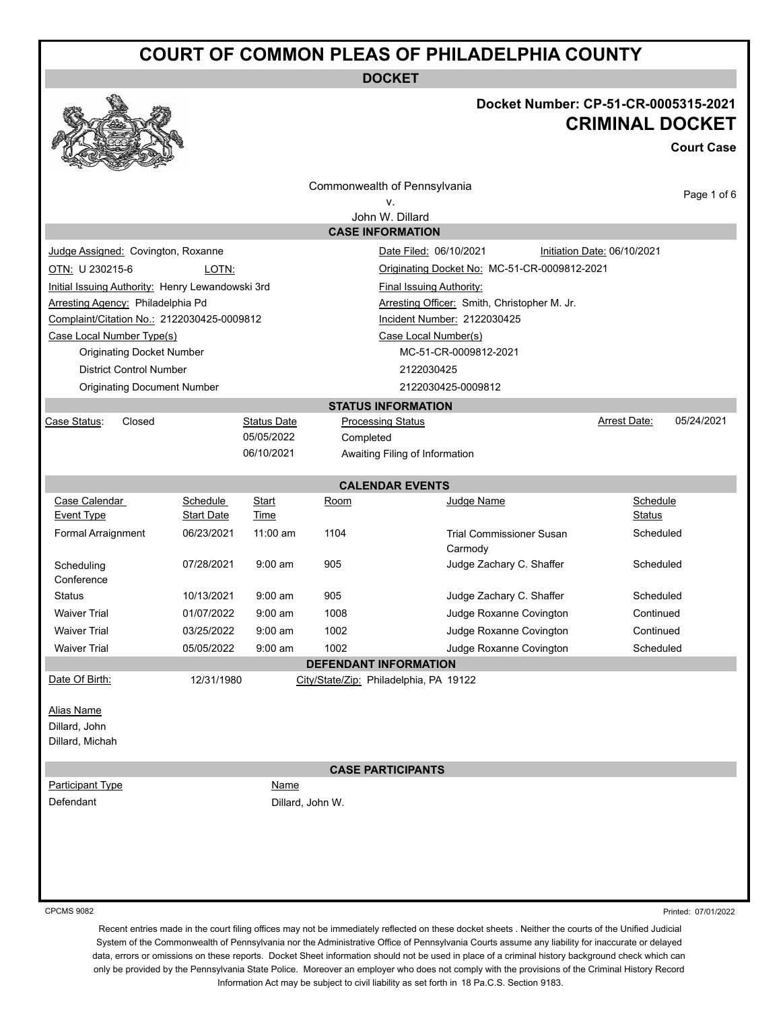**DOCKET**

### **Docket Number: CP-51-CR-0005315-2021 CRIMINAL DOCKET**

**Court Case**

|                                                                                     |                                              |                                            |                                                    | Commonwealth of Pennsylvania<br>v.           |                                |           |                             | Page 1 of 6 |
|-------------------------------------------------------------------------------------|----------------------------------------------|--------------------------------------------|----------------------------------------------------|----------------------------------------------|--------------------------------|-----------|-----------------------------|-------------|
|                                                                                     |                                              |                                            |                                                    | John W. Dillard                              |                                |           |                             |             |
|                                                                                     |                                              |                                            |                                                    | <b>CASE INFORMATION</b>                      |                                |           |                             |             |
| Judge Assigned: Covington, Roxanne                                                  |                                              |                                            |                                                    |                                              | Date Filed: 06/10/2021         |           | Initiation Date: 06/10/2021 |             |
| OTN: U 230215-6<br>LOTN:<br>Originating Docket No: MC-51-CR-0009812-2021            |                                              |                                            |                                                    |                                              |                                |           |                             |             |
| Initial Issuing Authority: Henry Lewandowski 3rd<br><b>Final Issuing Authority:</b> |                                              |                                            |                                                    |                                              |                                |           |                             |             |
|                                                                                     | Arresting Agency: Philadelphia Pd            |                                            |                                                    | Arresting Officer: Smith, Christopher M. Jr. |                                |           |                             |             |
|                                                                                     |                                              | Complaint/Citation No.: 2122030425-0009812 |                                                    | Incident Number: 2122030425                  |                                |           |                             |             |
| Case Local Number Type(s)                                                           |                                              |                                            |                                                    |                                              | Case Local Number(s)           |           |                             |             |
|                                                                                     | <b>Originating Docket Number</b>             |                                            |                                                    |                                              | MC-51-CR-0009812-2021          |           |                             |             |
|                                                                                     | <b>District Control Number</b>               |                                            |                                                    |                                              | 2122030425                     |           |                             |             |
|                                                                                     | <b>Originating Document Number</b>           |                                            |                                                    |                                              | 2122030425-0009812             |           |                             |             |
|                                                                                     |                                              |                                            |                                                    | <b>STATUS INFORMATION</b>                    |                                |           |                             |             |
| Case Status:                                                                        | Closed                                       |                                            | <b>Status Date</b>                                 | <b>Processing Status</b>                     |                                |           | <b>Arrest Date:</b>         | 05/24/2021  |
|                                                                                     |                                              |                                            | 05/05/2022<br>06/10/2021                           | Completed                                    |                                |           |                             |             |
|                                                                                     |                                              |                                            |                                                    |                                              | Awaiting Filing of Information |           |                             |             |
|                                                                                     |                                              |                                            |                                                    | <b>CALENDAR EVENTS</b>                       |                                |           |                             |             |
| Case Calendar                                                                       |                                              | Schedule                                   | Start                                              | Room                                         | Judge Name                     |           | Schedule                    |             |
| Event Type                                                                          |                                              | <b>Start Date</b><br>Time                  |                                                    |                                              |                                |           | Status                      |             |
|                                                                                     | Formal Arraignment<br>06/23/2021<br>11:00 am |                                            | 1104<br><b>Trial Commissioner Susan</b><br>Carmody |                                              |                                | Scheduled |                             |             |
| Scheduling<br>Conference                                                            |                                              | 07/28/2021                                 | $9:00$ am                                          | 905                                          | Judge Zachary C. Shaffer       |           | Scheduled                   |             |
| <b>Status</b>                                                                       |                                              | 10/13/2021                                 | $9:00$ am                                          | 905                                          | Judge Zachary C. Shaffer       |           | Scheduled                   |             |
| <b>Waiver Trial</b>                                                                 |                                              | 01/07/2022                                 | $9:00$ am                                          | 1008                                         | Judge Roxanne Covington        |           | Continued                   |             |
| <b>Waiver Trial</b>                                                                 |                                              | 03/25/2022                                 | $9:00 \text{ am}$                                  | 1002                                         | Judge Roxanne Covington        |           | Continued                   |             |
| <b>Waiver Trial</b>                                                                 |                                              | 05/05/2022                                 | $9:00$ am                                          | 1002                                         | Judge Roxanne Covington        |           | Scheduled                   |             |
|                                                                                     |                                              |                                            |                                                    | <b>DEFENDANT INFORMATION</b>                 |                                |           |                             |             |
| Date Of Birth:                                                                      |                                              | 12/31/1980                                 |                                                    | City/State/Zip: Philadelphia, PA 19122       |                                |           |                             |             |
| <b>Alias Name</b>                                                                   |                                              |                                            |                                                    |                                              |                                |           |                             |             |
| Dillard, John                                                                       |                                              |                                            |                                                    |                                              |                                |           |                             |             |
| Dillard, Michah                                                                     |                                              |                                            |                                                    |                                              |                                |           |                             |             |
|                                                                                     |                                              |                                            |                                                    |                                              |                                |           |                             |             |
| Participant Type                                                                    |                                              |                                            | Name                                               | <b>CASE PARTICIPANTS</b>                     |                                |           |                             |             |
| Defendant                                                                           |                                              |                                            | Dillard, John W.                                   |                                              |                                |           |                             |             |
|                                                                                     |                                              |                                            |                                                    |                                              |                                |           |                             |             |
|                                                                                     |                                              |                                            |                                                    |                                              |                                |           |                             |             |
|                                                                                     |                                              |                                            |                                                    |                                              |                                |           |                             |             |
|                                                                                     |                                              |                                            |                                                    |                                              |                                |           |                             |             |
|                                                                                     |                                              |                                            |                                                    |                                              |                                |           |                             |             |
|                                                                                     |                                              |                                            |                                                    |                                              |                                |           |                             |             |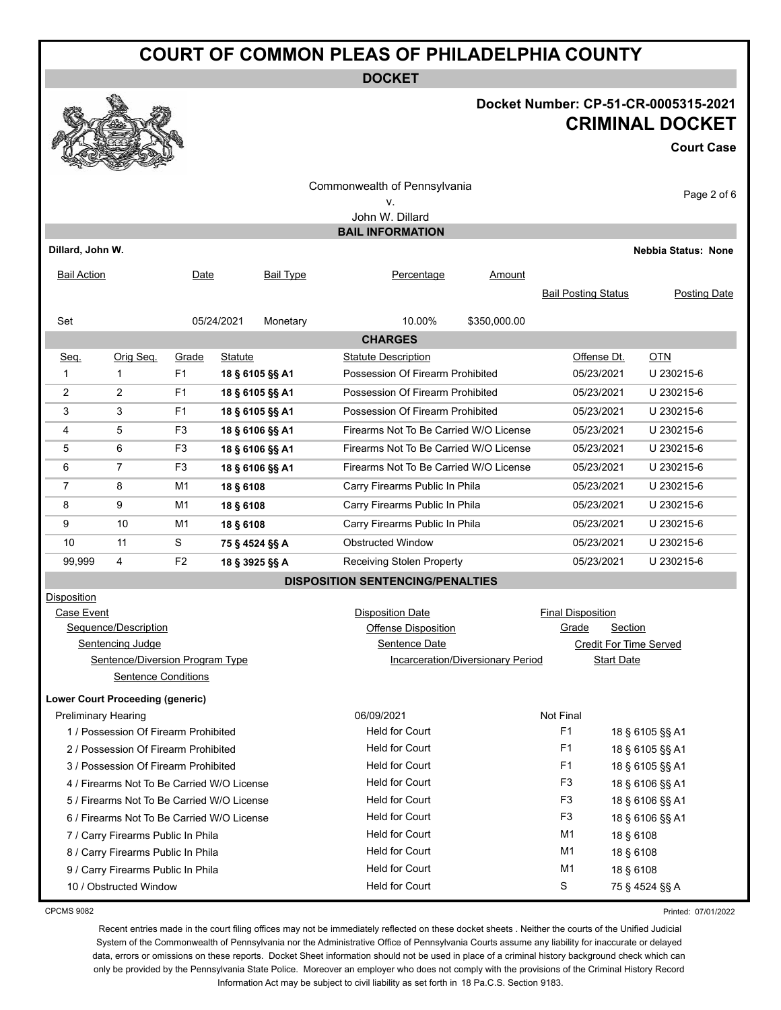**DOCKET**

### **Docket Number: CP-51-CR-0005315-2021 CRIMINAL DOCKET**

**Court Case**

| Commonwealth of Pennsylvania<br>Page 2 of 6<br>ν.<br>John W. Dillard<br><b>BAIL INFORMATION</b> |                                                                         |                |                 |           |                                                    |                             |                            |                            |
|-------------------------------------------------------------------------------------------------|-------------------------------------------------------------------------|----------------|-----------------|-----------|----------------------------------------------------|-----------------------------|----------------------------|----------------------------|
| Dillard, John W.                                                                                |                                                                         |                |                 |           |                                                    |                             |                            | <b>Nebbia Status: None</b> |
| <b>Bail Action</b>                                                                              |                                                                         | Date           |                 | Bail Type | Percentage                                         | Amount                      | <b>Bail Posting Status</b> | <b>Posting Date</b>        |
| Set                                                                                             |                                                                         |                | 05/24/2021      | Monetary  | 10.00%                                             | \$350,000.00                |                            |                            |
|                                                                                                 |                                                                         |                |                 |           | <b>CHARGES</b>                                     |                             |                            |                            |
| Seq.                                                                                            | Orig Seq.                                                               | Grade          | <b>Statute</b>  |           | <b>Statute Description</b>                         |                             | Offense Dt.                | OTN                        |
| 1                                                                                               | $\mathbf{1}$                                                            | F1             | 18 § 6105 §§ A1 |           | Possession Of Firearm Prohibited                   |                             | 05/23/2021                 | U 230215-6                 |
| 2                                                                                               | $\overline{2}$                                                          | F <sub>1</sub> | 18 § 6105 §§ A1 |           | Possession Of Firearm Prohibited                   |                             | 05/23/2021                 | U 230215-6                 |
| 3                                                                                               | 3                                                                       | F <sub>1</sub> | 18 § 6105 §§ A1 |           | Possession Of Firearm Prohibited                   |                             | 05/23/2021                 | U 230215-6                 |
| 4                                                                                               | 5                                                                       | F <sub>3</sub> | 18 § 6106 §§ A1 |           | Firearms Not To Be Carried W/O License             |                             | 05/23/2021                 | U 230215-6                 |
| 5                                                                                               | 6                                                                       | F3             | 18 § 6106 §§ A1 |           | Firearms Not To Be Carried W/O License             |                             | 05/23/2021                 | U 230215-6                 |
| 6                                                                                               | $\overline{7}$                                                          | F <sub>3</sub> | 18 § 6106 §§ A1 |           | Firearms Not To Be Carried W/O License             |                             | 05/23/2021                 | U 230215-6                 |
| 7                                                                                               | 8                                                                       | M1             | 18 § 6108       |           | Carry Firearms Public In Phila                     |                             | 05/23/2021                 | U 230215-6                 |
| 8                                                                                               | 9                                                                       | M1             | 18 § 6108       |           | Carry Firearms Public In Phila                     |                             | 05/23/2021                 | U 230215-6                 |
| 9                                                                                               | 10                                                                      | M1             | 18 § 6108       |           | Carry Firearms Public In Phila                     |                             | 05/23/2021                 | U 230215-6                 |
| 10                                                                                              | 11                                                                      | S              | 75 § 4524 §§ A  |           | <b>Obstructed Window</b>                           |                             | 05/23/2021                 | U 230215-6                 |
| 99,999                                                                                          | 4                                                                       | F <sub>2</sub> | 18 § 3925 §§ A  |           | Receiving Stolen Property                          |                             | 05/23/2021                 | U 230215-6                 |
|                                                                                                 |                                                                         |                |                 |           | <b>DISPOSITION SENTENCING/PENALTIES</b>            |                             |                            |                            |
| Disposition                                                                                     |                                                                         |                |                 |           |                                                    |                             |                            |                            |
| Case Event                                                                                      |                                                                         |                |                 |           | <b>Disposition Date</b>                            |                             | <b>Final Disposition</b>   |                            |
| Sequence/Description                                                                            |                                                                         |                |                 |           | Grade<br>Offense Disposition                       |                             |                            | Section                    |
| Sentencing Judge                                                                                |                                                                         |                |                 |           | Sentence Date<br>Incarceration/Diversionary Period |                             |                            | Credit For Time Served     |
|                                                                                                 | Sentence/Diversion Program Type                                         |                |                 |           |                                                    |                             | <b>Start Date</b>          |                            |
|                                                                                                 | <b>Sentence Conditions</b>                                              |                |                 |           |                                                    |                             |                            |                            |
|                                                                                                 | <b>Lower Court Proceeding (generic)</b>                                 |                |                 |           |                                                    |                             |                            |                            |
| <b>Preliminary Hearing</b>                                                                      |                                                                         |                |                 |           | 06/09/2021<br><b>Held for Court</b>                |                             | <b>Not Final</b><br>F1     |                            |
|                                                                                                 | 1 / Possession Of Firearm Prohibited                                    |                |                 |           |                                                    |                             | 18 § 6105 §§ A1            |                            |
|                                                                                                 | 2 / Possession Of Firearm Prohibited                                    |                |                 |           | Held for Court                                     |                             | F <sub>1</sub>             | 18 § 6105 §§ A1            |
| 3 / Possession Of Firearm Prohibited                                                            |                                                                         |                |                 |           | Held for Court                                     |                             | F <sub>1</sub>             | 18 § 6105 §§ A1            |
| 4 / Firearms Not To Be Carried W/O License                                                      |                                                                         |                |                 |           | <b>Held for Court</b>                              |                             | F <sub>3</sub>             | 18 § 6106 §§ A1            |
| 5 / Firearms Not To Be Carried W/O License                                                      |                                                                         |                |                 |           | <b>Held for Court</b>                              |                             | F <sub>3</sub>             | 18 § 6106 §§ A1            |
| 6 / Firearms Not To Be Carried W/O License<br>7 / Carry Firearms Public In Phila                |                                                                         |                |                 |           | <b>Held for Court</b>                              |                             | F <sub>3</sub>             | 18 § 6106 §§ A1            |
|                                                                                                 |                                                                         |                |                 |           | <b>Held for Court</b>                              | M <sub>1</sub><br>18 § 6108 |                            |                            |
|                                                                                                 | 8 / Carry Firearms Public In Phila                                      |                |                 |           | <b>Held for Court</b>                              |                             | M1                         | 18 § 6108                  |
|                                                                                                 | Held for Court<br>M1<br>18 § 6108<br>9 / Carry Firearms Public In Phila |                |                 |           |                                                    |                             |                            |                            |
| <b>Held for Court</b><br>10 / Obstructed Window                                                 |                                                                         |                |                 |           |                                                    |                             | S                          | 75 § 4524 §§ A             |

CPCMS 9082

Printed: 07/01/2022

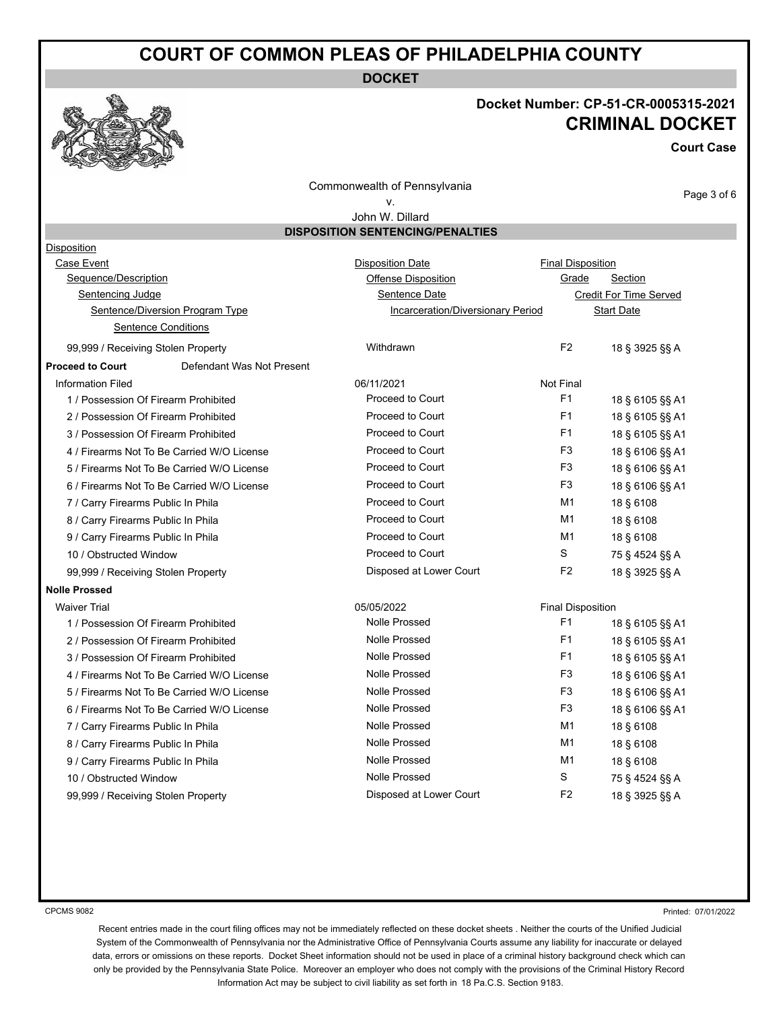**DOCKET**

### **Docket Number: CP-51-CR-0005315-2021 CRIMINAL DOCKET**

**Court Case**

Commonwealth of Pennsylvania

### v. John W. Dillard

Page 3 of 6

|                                                      | John W. Dillard                         |                          |                               |
|------------------------------------------------------|-----------------------------------------|--------------------------|-------------------------------|
|                                                      | <b>DISPOSITION SENTENCING/PENALTIES</b> |                          |                               |
| Disposition                                          |                                         |                          |                               |
| Case Event                                           | <b>Disposition Date</b>                 | <b>Final Disposition</b> |                               |
| Sequence/Description                                 | <b>Offense Disposition</b>              | Grade                    | Section                       |
| Sentencing Judge                                     | Sentence Date                           |                          | <b>Credit For Time Served</b> |
| Sentence/Diversion Program Type                      | Incarceration/Diversionary Period       |                          | <b>Start Date</b>             |
| <b>Sentence Conditions</b>                           |                                         |                          |                               |
| 99,999 / Receiving Stolen Property                   | Withdrawn                               | F <sub>2</sub>           | 18 § 3925 §§ A                |
| Defendant Was Not Present<br><b>Proceed to Court</b> |                                         |                          |                               |
| <b>Information Filed</b>                             | 06/11/2021                              | Not Final                |                               |
| 1 / Possession Of Firearm Prohibited                 | Proceed to Court                        | F1                       | 18 § 6105 §§ A1               |
| 2 / Possession Of Firearm Prohibited                 | Proceed to Court                        | F <sub>1</sub>           | 18 § 6105 §§ A1               |
| 3 / Possession Of Firearm Prohibited                 | Proceed to Court                        | F <sub>1</sub>           | 18 § 6105 §§ A1               |
| 4 / Firearms Not To Be Carried W/O License           | Proceed to Court                        | F3                       | 18 § 6106 §§ A1               |
| 5 / Firearms Not To Be Carried W/O License           | Proceed to Court                        | F <sub>3</sub>           | 18 § 6106 §§ A1               |
| 6 / Firearms Not To Be Carried W/O License           | Proceed to Court                        | F <sub>3</sub>           | 18 § 6106 §§ A1               |
| 7 / Carry Firearms Public In Phila                   | Proceed to Court                        | M1                       | 18 § 6108                     |
| 8 / Carry Firearms Public In Phila                   | Proceed to Court                        | M1                       | 18 § 6108                     |
| 9 / Carry Firearms Public In Phila                   | Proceed to Court                        | M1                       | 18 § 6108                     |
| 10 / Obstructed Window                               | Proceed to Court                        | S                        | 75 § 4524 §§ A                |
| 99,999 / Receiving Stolen Property                   | Disposed at Lower Court                 | F <sub>2</sub>           | 18 § 3925 §§ A                |
| <b>Nolle Prossed</b>                                 |                                         |                          |                               |
| <b>Waiver Trial</b>                                  | 05/05/2022                              | <b>Final Disposition</b> |                               |
| 1 / Possession Of Firearm Prohibited                 | <b>Nolle Prossed</b>                    | F <sub>1</sub>           | 18 § 6105 §§ A1               |
| 2 / Possession Of Firearm Prohibited                 | <b>Nolle Prossed</b>                    | F <sub>1</sub>           | 18 § 6105 §§ A1               |
| 3 / Possession Of Firearm Prohibited                 | <b>Nolle Prossed</b>                    | F <sub>1</sub>           | 18 § 6105 §§ A1               |
| 4 / Firearms Not To Be Carried W/O License           | <b>Nolle Prossed</b>                    | F <sub>3</sub>           | 18 § 6106 §§ A1               |
| 5 / Firearms Not To Be Carried W/O License           | <b>Nolle Prossed</b>                    | F <sub>3</sub>           | 18 § 6106 §§ A1               |
| 6 / Firearms Not To Be Carried W/O License           | <b>Nolle Prossed</b>                    | F3                       | 18 § 6106 §§ A1               |
| 7 / Carry Firearms Public In Phila                   | Nolle Prossed                           | M1                       | 18 § 6108                     |
| 8 / Carry Firearms Public In Phila                   | <b>Nolle Prossed</b>                    | M1                       | 18 § 6108                     |
| 9 / Carry Firearms Public In Phila                   | <b>Nolle Prossed</b>                    | M1                       | 18 § 6108                     |
| 10 / Obstructed Window                               | <b>Nolle Prossed</b>                    | S                        | 75 § 4524 §§ A                |

99,999 / Receiving Stolen Property Disposed at Lower Court F2 18 § 3925 §§ A

CPCMS 9082

Printed: 07/01/2022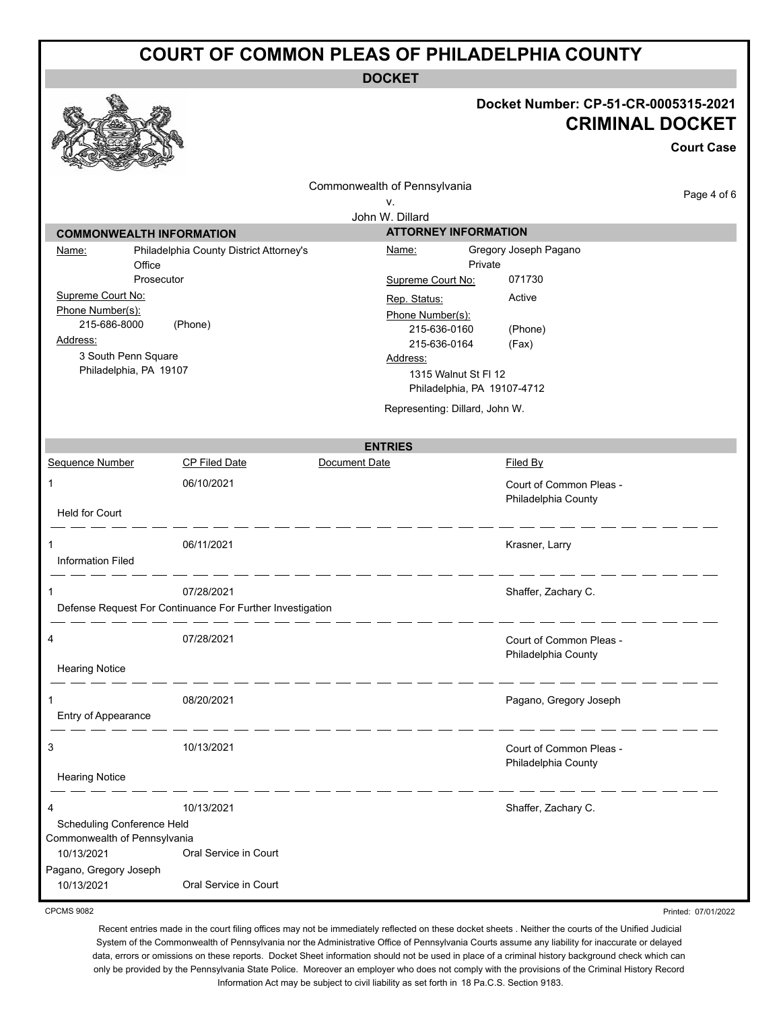**DOCKET**

# **Docket Number: CP-51-CR-0005315-2021**

|                                                        |                                                                         |                                                       | Docket Number: CP-51-CR-0005315-2021                | <b>CRIMINAL DOCKET</b> |
|--------------------------------------------------------|-------------------------------------------------------------------------|-------------------------------------------------------|-----------------------------------------------------|------------------------|
|                                                        |                                                                         |                                                       |                                                     | <b>Court Case</b>      |
|                                                        |                                                                         | Commonwealth of Pennsylvania<br>٧.                    |                                                     | Page 4 of 6            |
|                                                        |                                                                         | John W. Dillard                                       |                                                     |                        |
| <b>COMMONWEALTH INFORMATION</b>                        |                                                                         |                                                       | <b>ATTORNEY INFORMATION</b>                         |                        |
| Name:<br>Office                                        | Philadelphia County District Attorney's                                 | <u>Name:</u>                                          | Gregory Joseph Pagano<br>Private                    |                        |
| Prosecutor<br>Supreme Court No:<br>Phone Number(s):    |                                                                         | Supreme Court No:<br>Rep. Status:<br>Phone Number(s): | 071730<br>Active                                    |                        |
| 215-686-8000<br>Address:<br>3 South Penn Square        | (Phone)                                                                 | 215-636-0160<br>215-636-0164<br>Address:              | (Phone)<br>(Fax)                                    |                        |
| Philadelphia, PA 19107                                 |                                                                         |                                                       | 1315 Walnut St FI 12<br>Philadelphia, PA 19107-4712 |                        |
|                                                        |                                                                         |                                                       | Representing: Dillard, John W.                      |                        |
|                                                        |                                                                         | <b>ENTRIES</b>                                        |                                                     |                        |
| Sequence Number                                        | <b>CP Filed Date</b>                                                    | Document Date                                         | Filed By                                            |                        |
| 1                                                      | 06/10/2021                                                              |                                                       | Court of Common Pleas -<br>Philadelphia County      |                        |
| <b>Held for Court</b><br>1<br><b>Information Filed</b> | 06/11/2021                                                              |                                                       | Krasner, Larry                                      |                        |
| 1                                                      | 07/28/2021<br>Defense Request For Continuance For Further Investigation |                                                       | Shaffer, Zachary C.                                 |                        |
| 4<br><b>Hearing Notice</b>                             | 07/28/2021                                                              |                                                       | Court of Common Pleas -<br>Philadelphia County      |                        |
| Entry of Appearance                                    | 08/20/2021                                                              |                                                       | Pagano, Gregory Joseph                              |                        |
| 3                                                      | 10/13/2021                                                              |                                                       | Court of Common Pleas -<br>Philadelphia County      |                        |
| <b>Hearing Notice</b>                                  |                                                                         |                                                       |                                                     |                        |
| 4<br>Scheduling Conference Held                        | 10/13/2021                                                              |                                                       | Shaffer, Zachary C.                                 |                        |
| Commonwealth of Pennsylvania                           |                                                                         |                                                       |                                                     |                        |
| 10/13/2021<br>Pagano, Gregory Joseph                   | Oral Service in Court                                                   |                                                       |                                                     |                        |
| 10/13/2021                                             | Oral Service in Court                                                   |                                                       |                                                     |                        |

CPCMS 9082

 $65$ 

Recent entries made in the court filing offices may not be immediately reflected on these docket sheets . Neither the courts of the Unified Judicial System of the Commonwealth of Pennsylvania nor the Administrative Office of Pennsylvania Courts assume any liability for inaccurate or delayed data, errors or omissions on these reports. Docket Sheet information should not be used in place of a criminal history background check which can only be provided by the Pennsylvania State Police. Moreover an employer who does not comply with the provisions of the Criminal History Record Information Act may be subject to civil liability as set forth in 18 Pa.C.S. Section 9183.

Printed: 07/01/2022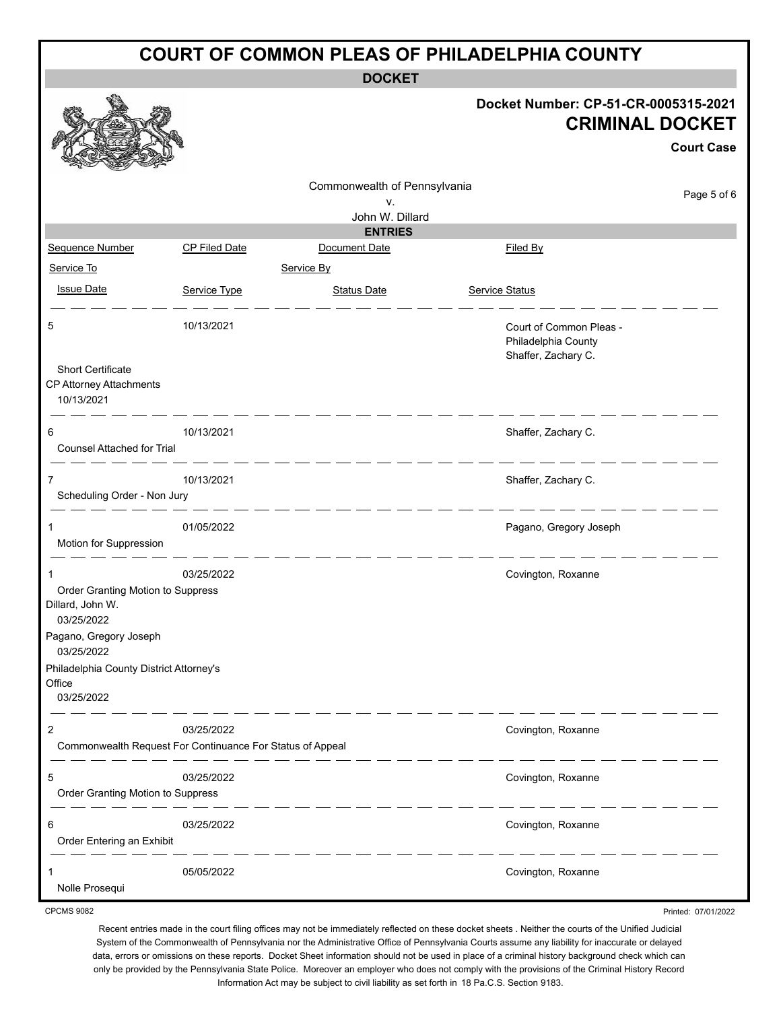| <b>COURT OF COMMON PLEAS OF PHILADELPHIA COUNTY</b>                                                                                                                            |                                                                         |                                    |                                                                       |                   |  |  |  |  |
|--------------------------------------------------------------------------------------------------------------------------------------------------------------------------------|-------------------------------------------------------------------------|------------------------------------|-----------------------------------------------------------------------|-------------------|--|--|--|--|
| <b>DOCKET</b>                                                                                                                                                                  |                                                                         |                                    |                                                                       |                   |  |  |  |  |
|                                                                                                                                                                                |                                                                         |                                    | Docket Number: CP-51-CR-0005315-2021<br><b>CRIMINAL DOCKET</b>        | <b>Court Case</b> |  |  |  |  |
|                                                                                                                                                                                |                                                                         | Commonwealth of Pennsylvania<br>v. |                                                                       | Page 5 of 6       |  |  |  |  |
|                                                                                                                                                                                |                                                                         | John W. Dillard<br><b>ENTRIES</b>  |                                                                       |                   |  |  |  |  |
| Sequence Number                                                                                                                                                                | <b>CP Filed Date</b>                                                    | Document Date                      | Filed By                                                              |                   |  |  |  |  |
| Service To<br><b>Issue Date</b>                                                                                                                                                | Service Type                                                            | Service By<br><b>Status Date</b>   | <b>Service Status</b>                                                 |                   |  |  |  |  |
| 5<br><b>Short Certificate</b>                                                                                                                                                  | 10/13/2021                                                              |                                    | Court of Common Pleas -<br>Philadelphia County<br>Shaffer, Zachary C. |                   |  |  |  |  |
| CP Attorney Attachments<br>10/13/2021                                                                                                                                          |                                                                         |                                    |                                                                       |                   |  |  |  |  |
| 6<br><b>Counsel Attached for Trial</b>                                                                                                                                         | 10/13/2021                                                              |                                    | Shaffer, Zachary C.                                                   |                   |  |  |  |  |
| 7<br>Scheduling Order - Non Jury                                                                                                                                               | 10/13/2021                                                              |                                    | Shaffer, Zachary C.                                                   |                   |  |  |  |  |
| Motion for Suppression                                                                                                                                                         | 01/05/2022                                                              |                                    | Pagano, Gregory Joseph                                                |                   |  |  |  |  |
| Order Granting Motion to Suppress<br>Dillard, John W.<br>03/25/2022<br>Pagano, Gregory Joseph<br>03/25/2022<br>Philadelphia County District Attorney's<br>Office<br>03/25/2022 | 03/25/2022                                                              |                                    | Covington, Roxanne                                                    |                   |  |  |  |  |
| 2                                                                                                                                                                              | 03/25/2022<br>Commonwealth Request For Continuance For Status of Appeal |                                    | Covington, Roxanne                                                    |                   |  |  |  |  |
| 5<br>Order Granting Motion to Suppress                                                                                                                                         | 03/25/2022                                                              |                                    | Covington, Roxanne                                                    |                   |  |  |  |  |
| 6<br>Order Entering an Exhibit                                                                                                                                                 | 03/25/2022                                                              |                                    | Covington, Roxanne                                                    |                   |  |  |  |  |

1 05/05/2022 Covington, Roxanne Nolle Prosequi

CPCMS 9082

Recent entries made in the court filing offices may not be immediately reflected on these docket sheets . Neither the courts of the Unified Judicial System of the Commonwealth of Pennsylvania nor the Administrative Office of Pennsylvania Courts assume any liability for inaccurate or delayed data, errors or omissions on these reports. Docket Sheet information should not be used in place of a criminal history background check which can only be provided by the Pennsylvania State Police. Moreover an employer who does not comply with the provisions of the Criminal History Record Information Act may be subject to civil liability as set forth in 18 Pa.C.S. Section 9183.

Printed: 07/01/2022